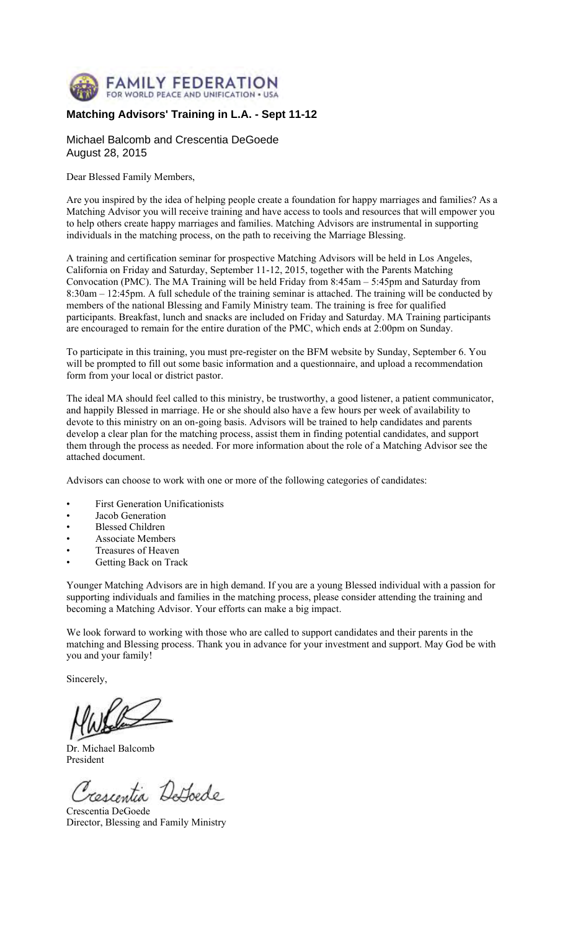

#### **Matching Advisors' Training in L.A. - Sept 11-12**

Michael Balcomb and Crescentia DeGoede August 28, 2015

Dear Blessed Family Members,

Are you inspired by the idea of helping people create a foundation for happy marriages and families? As a Matching Advisor you will receive training and have access to tools and resources that will empower you to help others create happy marriages and families. Matching Advisors are instrumental in supporting individuals in the matching process, on the path to receiving the Marriage Blessing.

A training and certification seminar for prospective Matching Advisors will be held in Los Angeles, California on Friday and Saturday, September 11-12, 2015, together with the Parents Matching Convocation (PMC). The MA Training will be held Friday from 8:45am – 5:45pm and Saturday from 8:30am – 12:45pm. A full schedule of the training seminar is attached. The training will be conducted by members of the national Blessing and Family Ministry team. The training is free for qualified participants. Breakfast, lunch and snacks are included on Friday and Saturday. MA Training participants are encouraged to remain for the entire duration of the PMC, which ends at 2:00pm on Sunday.

To participate in this training, you must pre-register on the BFM website by Sunday, September 6. You will be prompted to fill out some basic information and a questionnaire, and upload a recommendation form from your local or district pastor.

The ideal MA should feel called to this ministry, be trustworthy, a good listener, a patient communicator, and happily Blessed in marriage. He or she should also have a few hours per week of availability to devote to this ministry on an on-going basis. Advisors will be trained to help candidates and parents develop a clear plan for the matching process, assist them in finding potential candidates, and support them through the process as needed. For more information about the role of a Matching Advisor see the attached document.

Advisors can choose to work with one or more of the following categories of candidates:

- First Generation Unificationists
- Jacob Generation
- Blessed Children
- Associate Members
- Treasures of Heaven
- Getting Back on Track

Younger Matching Advisors are in high demand. If you are a young Blessed individual with a passion for supporting individuals and families in the matching process, please consider attending the training and becoming a Matching Advisor. Your efforts can make a big impact.

We look forward to working with those who are called to support candidates and their parents in the matching and Blessing process. Thank you in advance for your investment and support. May God be with you and your family!

Sincerely,

Dr. Michael Balcomb President

cescentia Dathodo

Crescentia DeGoede Director, Blessing and Family Ministry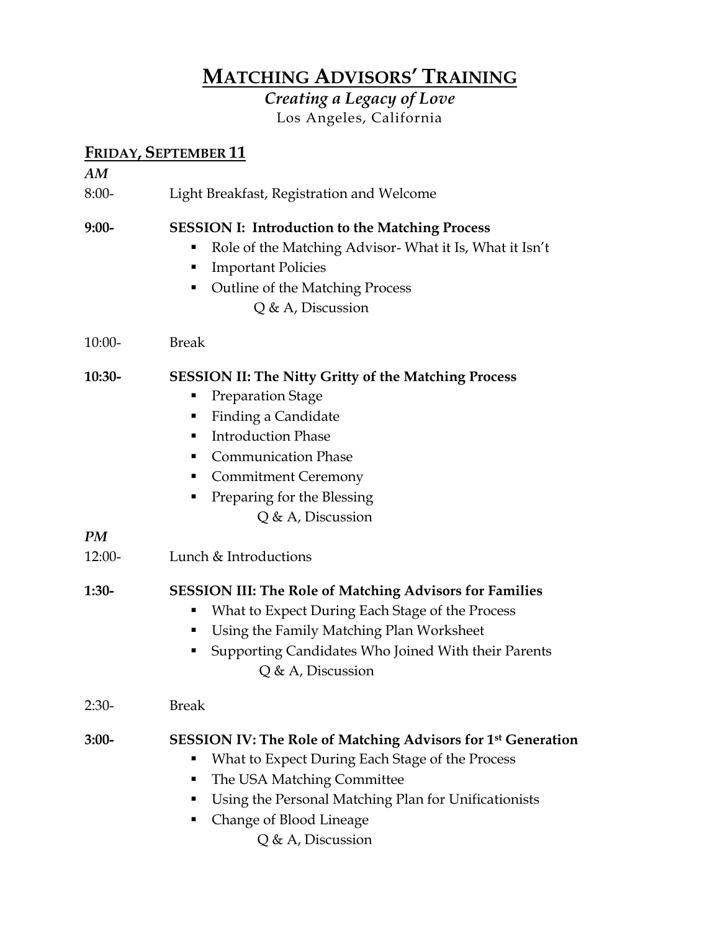## **MATCHING ADVISORS' TRAINING**

*Creating a Legacy of Love*  Los Angeles, California

### **FRIDAY, SEPTEMBER 11**

| AM       | <u> 1112 : 117 Julie 11111 211 : 1</u>                                                                                                                                                                                                                                                |
|----------|---------------------------------------------------------------------------------------------------------------------------------------------------------------------------------------------------------------------------------------------------------------------------------------|
| $8:00-$  | Light Breakfast, Registration and Welcome                                                                                                                                                                                                                                             |
| $9:00-$  | <b>SESSION I: Introduction to the Matching Process</b><br>Role of the Matching Advisor-What it Is, What it Isn't<br><b>Important Policies</b><br>п<br>Outline of the Matching Process<br>Q & A, Discussion                                                                            |
| $10:00-$ | <b>Break</b>                                                                                                                                                                                                                                                                          |
| $10:30-$ | <b>SESSION II: The Nitty Gritty of the Matching Process</b><br><b>Preparation Stage</b><br>Е<br>Finding a Candidate<br>п<br><b>Introduction Phase</b><br>٠<br><b>Communication Phase</b><br><b>Commitment Ceremony</b><br>п<br>Preparing for the Blessing<br>п<br>$Q$ & A, Discussion |
| PM       |                                                                                                                                                                                                                                                                                       |
| $12:00-$ | Lunch & Introductions                                                                                                                                                                                                                                                                 |
| $1:30-$  | <b>SESSION III: The Role of Matching Advisors for Families</b><br>What to Expect During Each Stage of the Process<br>Using the Family Matching Plan Worksheet<br>п<br>Supporting Candidates Who Joined With their Parents<br>Q & A, Discussion                                        |
| $2:30-$  | <b>Break</b>                                                                                                                                                                                                                                                                          |
| $3:00-$  | <b>SESSION IV: The Role of Matching Advisors for 1st Generation</b><br>What to Expect During Each Stage of the Process<br>The USA Matching Committee<br>п<br>Using the Personal Matching Plan for Unificationists<br>п<br>Change of Blood Lineage<br>п<br>Q & A, Discussion           |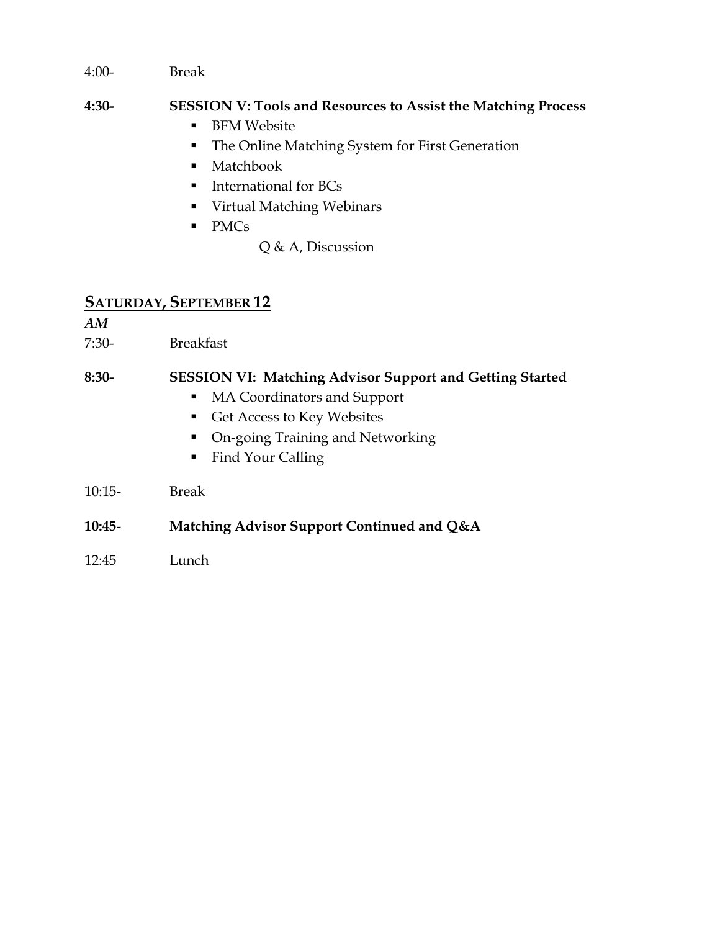4:00- Break

#### **4:30- SESSION V: Tools and Resources to Assist the Matching Process**

- **BFM Website**
- **The Online Matching System for First Generation**
- Matchbook
- **International for BCs**
- Virtual Matching Webinars
- PMCs

Q & A, Discussion

#### **SATURDAY, SEPTEMBER 12**

*AM*

7:30- Breakfast

#### **8:30- SESSION VI: Matching Advisor Support and Getting Started**

- MA Coordinators and Support
- Get Access to Key Websites
- On-going Training and Networking
- **Find Your Calling**
- 10:15- Break

#### **10:45**- **Matching Advisor Support Continued and Q&A**

12:45 Lunch